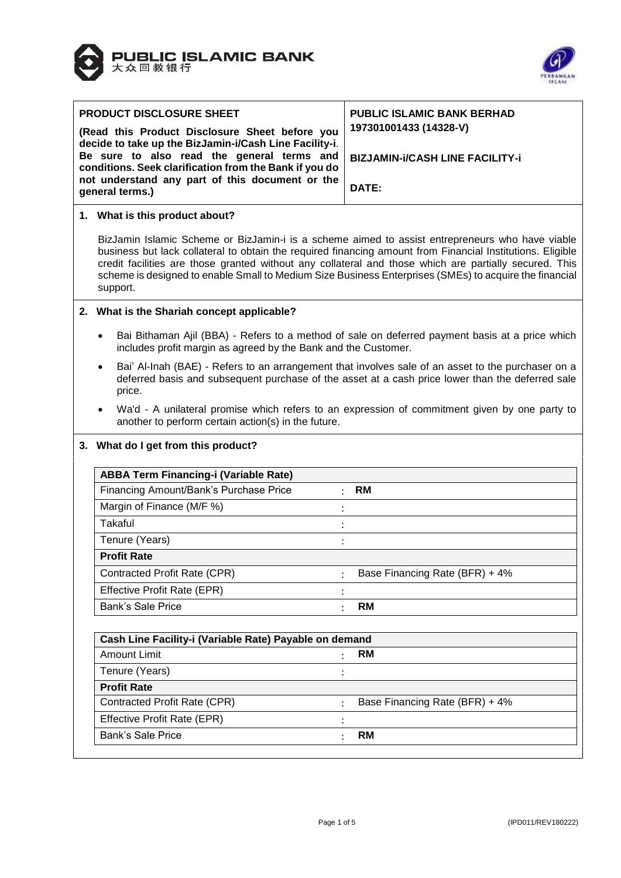



|                                            | <b>PRODUCT DISCLOSURE SHEET</b>                                                                                                                                                                                                                                                                                                                                                                                                               | <b>PUBLIC ISLAMIC BANK BERHAD</b>                                                                                                                                                                      |  |  |  |  |  |
|--------------------------------------------|-----------------------------------------------------------------------------------------------------------------------------------------------------------------------------------------------------------------------------------------------------------------------------------------------------------------------------------------------------------------------------------------------------------------------------------------------|--------------------------------------------------------------------------------------------------------------------------------------------------------------------------------------------------------|--|--|--|--|--|
|                                            | (Read this Product Disclosure Sheet before you<br>decide to take up the BizJamin-i/Cash Line Facility-i.                                                                                                                                                                                                                                                                                                                                      | 197301001433 (14328-V)                                                                                                                                                                                 |  |  |  |  |  |
| Be sure to also read the general terms and |                                                                                                                                                                                                                                                                                                                                                                                                                                               | <b>BIZJAMIN-i/CASH LINE FACILITY-i</b>                                                                                                                                                                 |  |  |  |  |  |
|                                            | conditions. Seek clarification from the Bank if you do<br>not understand any part of this document or the                                                                                                                                                                                                                                                                                                                                     |                                                                                                                                                                                                        |  |  |  |  |  |
|                                            | general terms.)                                                                                                                                                                                                                                                                                                                                                                                                                               | DATE:                                                                                                                                                                                                  |  |  |  |  |  |
|                                            | 1. What is this product about?                                                                                                                                                                                                                                                                                                                                                                                                                |                                                                                                                                                                                                        |  |  |  |  |  |
|                                            | BizJamin Islamic Scheme or BizJamin-i is a scheme aimed to assist entrepreneurs who have viable<br>business but lack collateral to obtain the required financing amount from Financial Institutions. Eligible<br>credit facilities are those granted without any collateral and those which are partially secured. This<br>scheme is designed to enable Small to Medium Size Business Enterprises (SMEs) to acquire the financial<br>support. |                                                                                                                                                                                                        |  |  |  |  |  |
|                                            | 2. What is the Shariah concept applicable?                                                                                                                                                                                                                                                                                                                                                                                                    |                                                                                                                                                                                                        |  |  |  |  |  |
|                                            | Bai Bithaman Ajil (BBA) - Refers to a method of sale on deferred payment basis at a price which<br>includes profit margin as agreed by the Bank and the Customer.                                                                                                                                                                                                                                                                             |                                                                                                                                                                                                        |  |  |  |  |  |
|                                            | $\bullet$<br>price.                                                                                                                                                                                                                                                                                                                                                                                                                           | Bai' Al-Inah (BAE) - Refers to an arrangement that involves sale of an asset to the purchaser on a<br>deferred basis and subsequent purchase of the asset at a cash price lower than the deferred sale |  |  |  |  |  |
|                                            | another to perform certain action(s) in the future.                                                                                                                                                                                                                                                                                                                                                                                           | Wa'd - A unilateral promise which refers to an expression of commitment given by one party to                                                                                                          |  |  |  |  |  |
|                                            | 3. What do I get from this product?                                                                                                                                                                                                                                                                                                                                                                                                           |                                                                                                                                                                                                        |  |  |  |  |  |
|                                            | <b>ABBA Term Financing-i (Variable Rate)</b>                                                                                                                                                                                                                                                                                                                                                                                                  |                                                                                                                                                                                                        |  |  |  |  |  |
|                                            | Financing Amount/Bank's Purchase Price                                                                                                                                                                                                                                                                                                                                                                                                        | RM                                                                                                                                                                                                     |  |  |  |  |  |
|                                            | Margin of Finance (M/F %)                                                                                                                                                                                                                                                                                                                                                                                                                     |                                                                                                                                                                                                        |  |  |  |  |  |
|                                            | Takaful                                                                                                                                                                                                                                                                                                                                                                                                                                       |                                                                                                                                                                                                        |  |  |  |  |  |
|                                            | Tenure (Years)                                                                                                                                                                                                                                                                                                                                                                                                                                |                                                                                                                                                                                                        |  |  |  |  |  |
|                                            | <b>Profit Rate</b>                                                                                                                                                                                                                                                                                                                                                                                                                            |                                                                                                                                                                                                        |  |  |  |  |  |
|                                            | Contracted Profit Rate (CPR)                                                                                                                                                                                                                                                                                                                                                                                                                  | Base Financing Rate (BFR) + 4%                                                                                                                                                                         |  |  |  |  |  |
|                                            | Effective Profit Rate (EPR)                                                                                                                                                                                                                                                                                                                                                                                                                   |                                                                                                                                                                                                        |  |  |  |  |  |
|                                            | <b>Bank's Sale Price</b>                                                                                                                                                                                                                                                                                                                                                                                                                      | <b>RM</b>                                                                                                                                                                                              |  |  |  |  |  |
|                                            | Cash Line Facility-i (Variable Rate) Payable on demand                                                                                                                                                                                                                                                                                                                                                                                        |                                                                                                                                                                                                        |  |  |  |  |  |
|                                            | <b>Amount Limit</b>                                                                                                                                                                                                                                                                                                                                                                                                                           | <b>RM</b>                                                                                                                                                                                              |  |  |  |  |  |
|                                            | Tenure (Years)                                                                                                                                                                                                                                                                                                                                                                                                                                |                                                                                                                                                                                                        |  |  |  |  |  |
|                                            | <b>Profit Rate</b>                                                                                                                                                                                                                                                                                                                                                                                                                            |                                                                                                                                                                                                        |  |  |  |  |  |
|                                            | Contracted Profit Rate (CPR)                                                                                                                                                                                                                                                                                                                                                                                                                  | Base Financing Rate (BFR) + 4%                                                                                                                                                                         |  |  |  |  |  |
|                                            | Effective Profit Rate (EPR)                                                                                                                                                                                                                                                                                                                                                                                                                   |                                                                                                                                                                                                        |  |  |  |  |  |
|                                            | <b>Bank's Sale Price</b><br>$\ddot{\cdot}$                                                                                                                                                                                                                                                                                                                                                                                                    | <b>RM</b>                                                                                                                                                                                              |  |  |  |  |  |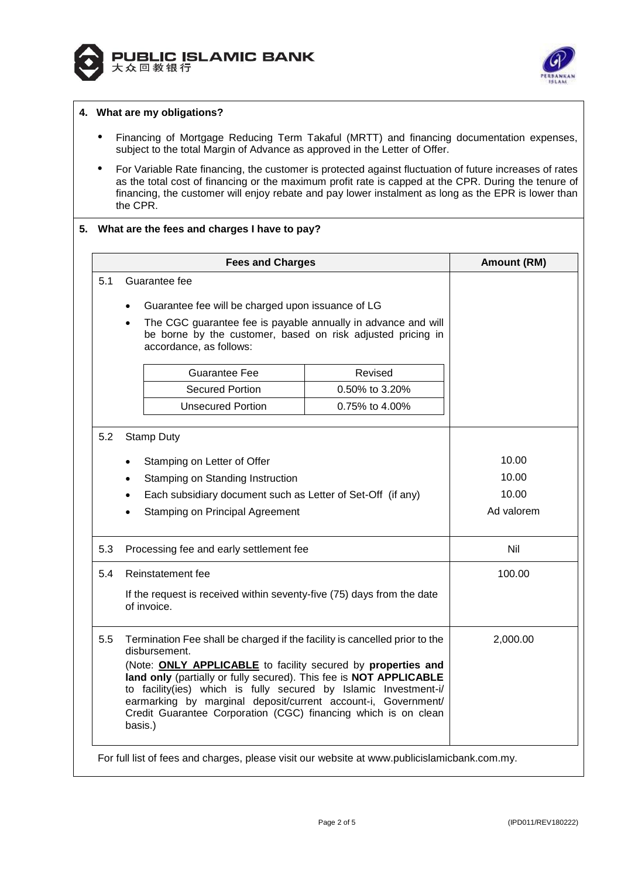



## **4. What are my obligations?**

- Financing of Mortgage Reducing Term Takaful (MRTT) and financing documentation expenses, subject to the total Margin of Advance as approved in the Letter of Offer.
- For Variable Rate financing, the customer is protected against fluctuation of future increases of rates as the total cost of financing or the maximum profit rate is capped at the CPR. During the tenure of financing, the customer will enjoy rebate and pay lower instalment as long as the EPR is lower than the CPR.

## **5. What are the fees and charges I have to pay?**

|     | <b>Fees and Charges</b>                                                                                                                                                                                                                                                                                                                              |                | Amount (RM) |
|-----|------------------------------------------------------------------------------------------------------------------------------------------------------------------------------------------------------------------------------------------------------------------------------------------------------------------------------------------------------|----------------|-------------|
| 5.1 | Guarantee fee                                                                                                                                                                                                                                                                                                                                        |                |             |
|     | Guarantee fee will be charged upon issuance of LG                                                                                                                                                                                                                                                                                                    |                |             |
|     | The CGC guarantee fee is payable annually in advance and will<br>be borne by the customer, based on risk adjusted pricing in<br>accordance, as follows:                                                                                                                                                                                              |                |             |
|     | Guarantee Fee                                                                                                                                                                                                                                                                                                                                        | Revised        |             |
|     | <b>Secured Portion</b>                                                                                                                                                                                                                                                                                                                               | 0.50% to 3.20% |             |
|     | <b>Unsecured Portion</b>                                                                                                                                                                                                                                                                                                                             | 0.75% to 4.00% |             |
| 5.2 | <b>Stamp Duty</b>                                                                                                                                                                                                                                                                                                                                    |                |             |
|     | Stamping on Letter of Offer                                                                                                                                                                                                                                                                                                                          |                | 10.00       |
|     | Stamping on Standing Instruction                                                                                                                                                                                                                                                                                                                     |                | 10.00       |
|     | Each subsidiary document such as Letter of Set-Off (if any)                                                                                                                                                                                                                                                                                          |                | 10.00       |
|     | <b>Stamping on Principal Agreement</b>                                                                                                                                                                                                                                                                                                               |                | Ad valorem  |
| 5.3 | Processing fee and early settlement fee                                                                                                                                                                                                                                                                                                              |                | Nil         |
| 5.4 | Reinstatement fee                                                                                                                                                                                                                                                                                                                                    |                | 100.00      |
|     | If the request is received within seventy-five (75) days from the date<br>of invoice.                                                                                                                                                                                                                                                                |                |             |
| 5.5 | Termination Fee shall be charged if the facility is cancelled prior to the<br>disbursement.                                                                                                                                                                                                                                                          |                | 2,000.00    |
|     | (Note: ONLY APPLICABLE to facility secured by properties and<br>land only (partially or fully secured). This fee is NOT APPLICABLE<br>to facility(ies) which is fully secured by Islamic Investment-i/<br>earmarking by marginal deposit/current account-i, Government/<br>Credit Guarantee Corporation (CGC) financing which is on clean<br>basis.) |                |             |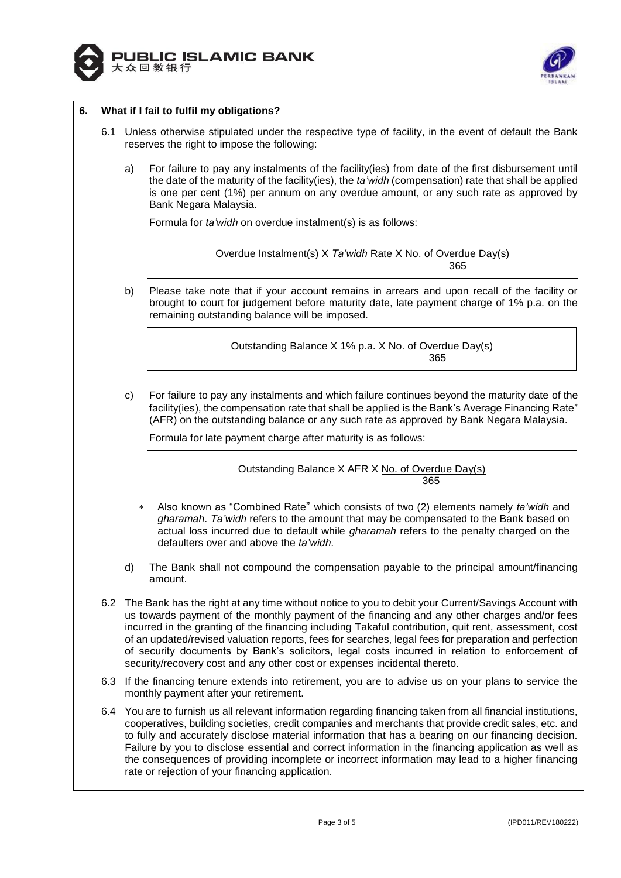



# **6. What if I fail to fulfil my obligations?**

- 6.1 Unless otherwise stipulated under the respective type of facility, in the event of default the Bank reserves the right to impose the following:
	- a) For failure to pay any instalments of the facility(ies) from date of the first disbursement until the date of the maturity of the facility(ies), the *ta'widh* (compensation) rate that shall be applied is one per cent (1%) per annum on any overdue amount, or any such rate as approved by Bank Negara Malaysia.

Formula for *ta'widh* on overdue instalment(s) is as follows:

| Overdue Instalment(s) X Ta'widh Rate X No. of Overdue Day(s) |  |
|--------------------------------------------------------------|--|
| 365                                                          |  |

b) Please take note that if your account remains in arrears and upon recall of the facility or brought to court for judgement before maturity date, late payment charge of 1% p.a. on the remaining outstanding balance will be imposed.

> Outstanding Balance X 1% p.a. X No. of Overdue Day(s) 365

c) For failure to pay any instalments and which failure continues beyond the maturity date of the facility(ies), the compensation rate that shall be applied is the Bank's Average Financing Rate\* (AFR) on the outstanding balance or any such rate as approved by Bank Negara Malaysia.

Formula for late payment charge after maturity is as follows:

Outstanding Balance X AFR X No. of Overdue Day(s) <u>365 - 2001 - 2002 - 2003 - 2003 - 2004 - 2005 - 2006 - 2007 - 2008 - 2009 - 2009 - 2009 - 2009 - 200</u>

- Also known as "Combined Rate" which consists of two (2) elements namely *ta'widh* and *gharamah*. *Ta'widh* refers to the amount that may be compensated to the Bank based on actual loss incurred due to default while *gharamah* refers to the penalty charged on the defaulters over and above the *ta'widh*.
- d) The Bank shall not compound the compensation payable to the principal amount/financing amount.
- 6.2 The Bank has the right at any time without notice to you to debit your Current/Savings Account with us towards payment of the monthly payment of the financing and any other charges and/or fees incurred in the granting of the financing including Takaful contribution, quit rent, assessment, cost of an updated/revised valuation reports, fees for searches, legal fees for preparation and perfection of security documents by Bank's solicitors, legal costs incurred in relation to enforcement of security/recovery cost and any other cost or expenses incidental thereto.
- 6.3 If the financing tenure extends into retirement, you are to advise us on your plans to service the monthly payment after your retirement.
- 6.4 You are to furnish us all relevant information regarding financing taken from all financial institutions, cooperatives, building societies, credit companies and merchants that provide credit sales, etc. and to fully and accurately disclose material information that has a bearing on our financing decision. Failure by you to disclose essential and correct information in the financing application as well as the consequences of providing incomplete or incorrect information may lead to a higher financing rate or rejection of your financing application.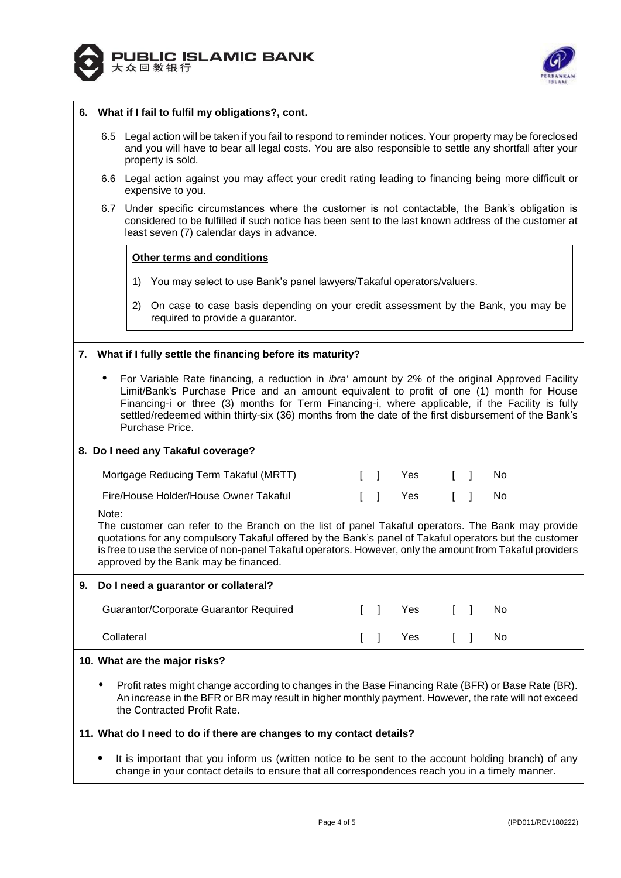



#### **6. What if I fail to fulfil my obligations?, cont.**

- 6.5 Legal action will be taken if you fail to respond to reminder notices. Your property may be foreclosed and you will have to bear all legal costs. You are also responsible to settle any shortfall after your property is sold.
- 6.6 Legal action against you may affect your credit rating leading to financing being more difficult or expensive to you.
- 6.7 Under specific circumstances where the customer is not contactable, the Bank's obligation is considered to be fulfilled if such notice has been sent to the last known address of the customer at least seven (7) calendar days in advance.

#### **Other terms and conditions**

- 1) You may select to use Bank's panel lawyers/Takaful operators/valuers.
- 2) On case to case basis depending on your credit assessment by the Bank, you may be required to provide a guarantor.

### **7. What if I fully settle the financing before its maturity?**

 For Variable Rate financing, a reduction in *ibra'* amount by 2% of the original Approved Facility Limit/Bank's Purchase Price and an amount equivalent to profit of one (1) month for House Financing-i or three (3) months for Term Financing-i, where applicable, if the Facility is fully settled/redeemed within thirty-six (36) months from the date of the first disbursement of the Bank's Purchase Price.

#### **8. Do I need any Takaful coverage?**

| Mortgage Reducing Term Takaful (MRTT) |  | II Yes [ ] No |  |  |
|---------------------------------------|--|---------------|--|--|
| Fire/House Holder/House Owner Takaful |  | II Yes II No  |  |  |

Note:

The customer can refer to the Branch on the list of panel Takaful operators. The Bank may provide quotations for any compulsory Takaful offered by the Bank's panel of Takaful operators but the customer is free to use the service of non-panel Takaful operators. However, only the amount from Takaful providers approved by the Bank may be financed.

# **9. Do I need a guarantor or collateral?**

| Guarantor/Corporate Guarantor Required | $\mathbf{1}$ | Yes [ ]   |  | No.  |
|----------------------------------------|--------------|-----------|--|------|
| Collateral                             |              | II Yes II |  | - No |

#### **10. What are the major risks?**

 Profit rates might change according to changes in the Base Financing Rate (BFR) or Base Rate (BR). An increase in the BFR or BR may result in higher monthly payment. However, the rate will not exceed the Contracted Profit Rate.

# **11. What do I need to do if there are changes to my contact details?**

 It is important that you inform us (written notice to be sent to the account holding branch) of any change in your contact details to ensure that all correspondences reach you in a timely manner.